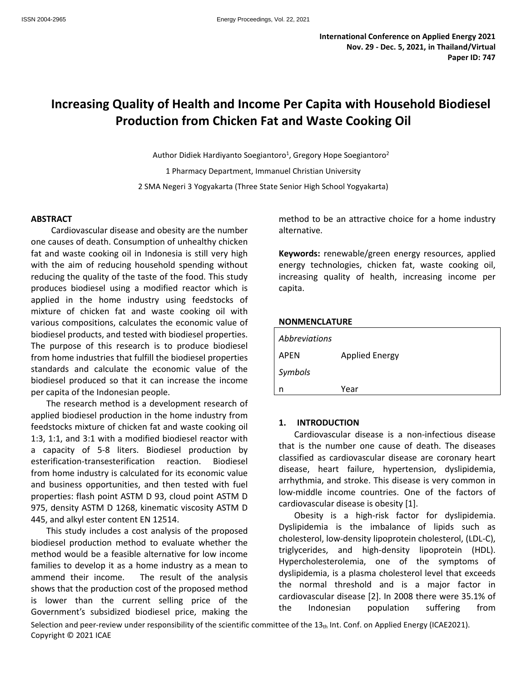# **Increasing Quality of Health and Income Per Capita with Household Biodiesel Production from Chicken Fat and Waste Cooking Oil**

Author Didiek Hardiyanto Soegiantoro<sup>1</sup>, Gregory Hope Soegiantoro<sup>2</sup> 2 1 Pharmacy Department, Immanuel Christian University 2 SMA Negeri 3 Yogyakarta (Three State Senior High School Yogyakarta)

#### **ABSTRACT**

Cardiovascular disease and obesity are the number one causes of death. Consumption of unhealthy chicken fat and waste cooking oil in Indonesia is still very high with the aim of reducing household spending without reducing the quality of the taste of the food. This study produces biodiesel using a modified reactor which is applied in the home industry using feedstocks of mixture of chicken fat and waste cooking oil with various compositions, calculates the economic value of biodiesel products, and tested with biodiesel properties. The purpose of this research is to produce biodiesel from home industries that fulfill the biodiesel properties standards and calculate the economic value of the biodiesel produced so that it can increase the income per capita of the Indonesian people.

The research method is a development research of applied biodiesel production in the home industry from feedstocks mixture of chicken fat and waste cooking oil 1:3, 1:1, and 3:1 with a modified biodiesel reactor with a capacity of 5-8 liters. Biodiesel production by esterification-transesterification reaction. Biodiesel from home industry is calculated for its economic value and business opportunities, and then tested with fuel properties: flash point ASTM D 93, cloud point ASTM D 975, density ASTM D 1268, kinematic viscosity ASTM D 445, and alkyl ester content EN 12514.

This study includes a cost analysis of the proposed biodiesel production method to evaluate whether the method would be a feasible alternative for low income families to develop it as a home industry as a mean to ammend their income. The result of the analysis shows that the production cost of the proposed method is lower than the current selling price of the cardiovascular disease. Government's subsidized biodiesel price, making the

method to be an attractive choice for a home industry alternative.

**Keywords:** renewable/green energy resources, applied energy technologies, chicken fat, waste cooking oil, increasing quality of health, increasing income per capita.

#### **NONMENCLATURE**

| <i>Abbreviations</i> |                       |
|----------------------|-----------------------|
| <b>APEN</b>          | <b>Applied Energy</b> |
| Symbols              |                       |
| n                    | Year                  |

## **1. INTRODUCTION**

Cardiovascular disease is a non-infectious disease that is the number one cause of death. The diseases classified as cardiovascular disease are coronary heart disease, heart failure, hypertension, dyslipidemia, arrhythmia, and stroke. This disease is very common in low-middle income countries. One of the factors of cardiovascular disease is obesity [1].

Obesity is a high-risk factor for dyslipidemia. Dyslipidemia is the imbalance of lipids such as cholesterol, low-density lipoprotein cholesterol, (LDL-C), triglycerides, and high-density lipoprotein (HDL). Hypercholesterolemia, one of the symptoms of dyslipidemia, is a plasma cholesterol level that exceeds the normal threshold and is a major factor in cardiovascular disease [2]. In 2008 there were 35.1% of population suffering from

Selection and peer-review under responsibility of the scientific committee of the  $13<sub>th</sub>$  Int. Conf. on Applied Energy (ICAE2021). Copyright © 2021 ICAE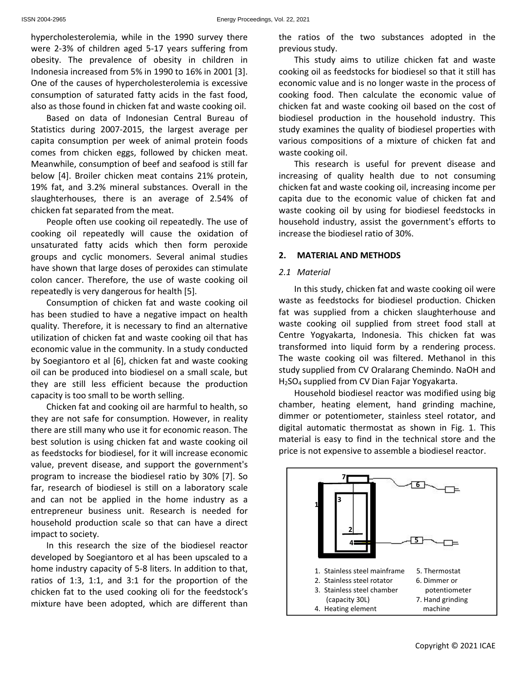hypercholesterolemia, while in the 1990 survey there were 2-3% of children aged 5-17 years suffering from  $\qquad$  previous study. obesity. The prevalence of obesity in children in Indonesia increased from 5% in 1990 to 16% in 2001 [3]. One of the causes of hypercholesterolemia is excessive consumption of saturated fatty acids in the fast food, also as those found in chicken fat and waste cooking oil.

Based on data of Indonesian Central Bureau of Statistics during 2007-2015, the largest average per capita consumption per week of animal protein foods comes from chicken eggs, followed by chicken meat. Meanwhile, consumption of beef and seafood is still far below [4]. Broiler chicken meat contains 21% protein, 19% fat, and 3.2% mineral substances. Overall in the slaughterhouses, there is an average of 2.54% of chicken fat separated from the meat.

People often use cooking oil repeatedly. The use of cooking oil repeatedly will cause the oxidation of unsaturated fatty acids which then form peroxide groups and cyclic monomers. Several animal studies have shown that large doses of peroxides can stimulate colon cancer. Therefore, the use of waste cooking oil repeatedly is very dangerous for health [5].

Consumption of chicken fat and waste cooking oil has been studied to have a negative impact on health quality. Therefore, it is necessary to find an alternative utilization of chicken fat and waste cooking oil that has economic value in the community. In a study conducted by Soegiantoro et al [6], chicken fat and waste cooking oil can be produced into biodiesel on a small scale, but they are still less efficient because the production capacity is too small to be worth selling.

Chicken fat and cooking oil are harmful to health, so they are not safe for consumption. However, in reality there are still many who use it for economic reason. The best solution is using chicken fat and waste cooking oil as feedstocks for biodiesel, for it will increase economic value, prevent disease, and support the government's program to increase the biodiesel ratio by 30% [7]. So far, research of biodiesel is still on a laboratory scale and can not be applied in the home industry as a entrepreneur business unit. Research is needed for household production scale so that can have a direct impact to society.

In this research the size of the biodiesel reactor developed by Soegiantoro et al has been upscaled to a home industry capacity of 5-8 liters. In addition to that, ratios of 1:3, 1:1, and 3:1 for the proportion of the chicken fat to the used cooking oli for the feedstock's mixture have been adopted, which are different than

the ratios of the two substances adopted in the

This study aims to utilize chicken fat and waste cooking oil as feedstocks for biodiesel so that it still has economic value and is no longer waste in the process of cooking food. Then calculate the economic value of chicken fat and waste cooking oil based on the costof biodiesel production in the household industry. This study examines the quality of biodiesel properties with various compositions of a mixture of chicken fat and waste cooking oil.

This research is useful for prevent disease and increasing of quality health due to not consuming chicken fat and waste cooking oil, increasing income per capita due to the economic value of chicken fat and waste cooking oil by using for biodiesel feedstocks in household industry, assist the government's efforts to increase the biodiesel ratio of 30%.

# **2. MATERIAL AND METHODS**

## *2.1 Material*

In this study, chicken fat and waste cooking oil were waste as feedstocks for biodiesel production. Chicken fat was supplied from a chicken slaughterhouse and waste cooking oil supplied from street food stall at Centre Yogyakarta, Indonesia. This chicken fat was transformed into liquid form by a rendering process. The waste cooking oil was filtered. Methanol in this study supplied from CV Oralarang Chemindo. NaOH and H2SO<sup>4</sup> supplied from CV Dian Fajar Yogyakarta.

Household biodiesel reactor was modified using big chamber, heating element, hand grinding machine, dimmer or potentiometer, stainless steel rotator, and digital automatic thermostat as shown in Fig. 1. This material is easy to find in the technical store and the price is not expensive to assemble a biodiesel reactor.

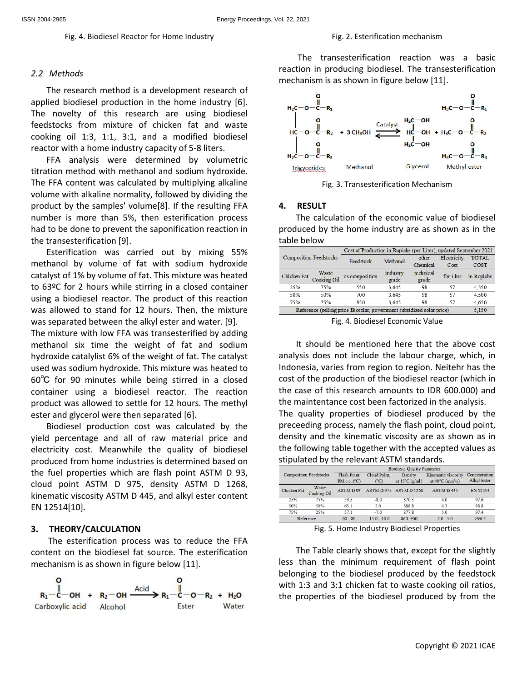#### *2.2 Methods*

The research method is a development research of applied biodiesel production in the home industry [6].  $\mathbf{H}_{10} = \mathbf{H}_{11}$ The novelty of this research are using biodiesel feedstocks from mixture of chicken fat and waste cooking oil 1:3, 1:1, 3:1, and a modified biodiesel reactor with a home industry capacity of 5-8 liters.

Fig. 4. Biodiesel Reactor for Home Industry

FFA analysis were determined by volumetric  $H_2C-O-\ddot{C}-$ <br>tion mothod with mothonal and sodium by resolucion titration method with methanol and sodium hydroxide. The FFA content was calculated by multiplying alkaline volume with alkaline normality, followed by dividing the product by the samples' volume[8]. If the resulting FFA number is more than 5%, then esterification process had to be done to prevent the saponification reaction in the transesterification [9].

Esterification was carried out by mixing 55% methanol by volume of fat with sodium hydroxide catalyst of 1% by volume of fat. This mixture was heated to 63ºC for 2 hours while stirring in a closed container using a biodiesel reactor. The product of this reaction was allowed to stand for 12 hours. Then, the mixture was separated between the alkyl ester and water. [9].

The mixture with low FFA was transesterified by adding methanol six time the weight of fat and sodium hydroxide catalylist 6% of the weight of fat. The catalyst used was sodium hydroxide. This mixture was heated to 60℃ for 90 minutes while being stirred in a closed container using a biodiesel reactor. The reaction product was allowed to settle for 12 hours. The methyl the maintentance cost been factorized in the analysis. ester and glycerol were then separated [6].

Biodiesel production cost was calculated by the yield percentage and all of raw material price and electricity cost. Meanwhile the quality of biodiesel produced from home industries is determined based on the fuel properties which are flash point ASTM D 93, cloud point ASTM D 975, density ASTM D 1268, kinematic viscosity ASTM D 445, and alkyl ester content EN 12514[10].

## **3. THEORY/CALCULATION**

The esterification process was to reduce the FFA content on the biodiesel fat source. The esterification mechanism is as shown in figure below [11].



The transesterification reaction was a basic reaction in producing biodiesel. The transesterification mechanism is as shown in figure below [11].



Fig. 3. Transesterification Mechanism

#### **4. RESULT**

The calculation of the economic value of biodiesel produced by the home industry are as shown as in the table below

|                               |                      | Cost of Production in Rupiahs (per Liter), updated September 2021     |                   |                    |                     |                             |  |  |
|-------------------------------|----------------------|-----------------------------------------------------------------------|-------------------|--------------------|---------------------|-----------------------------|--|--|
| <b>Composition Feedstocks</b> |                      | Feedstock                                                             | Methanol          | other<br>Chemical  | Electricity<br>Cost | <b>TOTAL</b><br><b>COST</b> |  |  |
| Chicken Fat                   | Waste<br>Cooking Oil | as composition                                                        | industry<br>grade | technical<br>grade | for 3 hrs           | in Rupiahs                  |  |  |
| 25%                           | 75%                  | 550<br>3,645                                                          | 98                | 57                 | 4,350               |                             |  |  |
| 50%                           | 50%                  | 700                                                                   | 3.645             | 98                 | 57                  | 4,500                       |  |  |
| 75%                           | 25%                  | 850                                                                   | 3.645             | 98                 | 57                  | 4,650                       |  |  |
|                               |                      | Reference (selling price Biosolar, government subsidized solar price) |                   |                    |                     | 5.150                       |  |  |

Fig. 4. Biodiesel Economic Value

It should be mentioned here that the above cost analysis does not include the labour charge, which, in Indonesia, varies from region to region. Neitehr has the cost of the production of the biodiesel reactor (which in the case of this research amounts to IDR 600.000) and The quality properties of biodiesel produced by the preceeding process, namely the flash point, cloud point, density and the kinematic viscosity are as shown as in the following table together with the accepted values as stipulated by the relevant ASTM standards.

|                               |                      | <b>Biodiesel Quality Parameter</b> |                      |                                     |                                                               |                                     |  |  |
|-------------------------------|----------------------|------------------------------------|----------------------|-------------------------------------|---------------------------------------------------------------|-------------------------------------|--|--|
| <b>Composition Feedstocks</b> |                      | Flash Point<br>PMC.C. (°C)         | Cloud Point.<br>(°C) | Density<br>at $15^{\circ}$ C (g/ml) | Kinematic viscosity<br>at $40^{\circ}$ C (mm <sup>2</sup> /s) | Concentration<br><b>Alkyl Ester</b> |  |  |
| Chicken Fat                   | Waste<br>Cooking Oil | ASTMD93                            | ASTM D 975           | <b>ASTM D1268</b>                   | ASTM D445                                                     | EN 12514                            |  |  |
| 25%                           | 75%                  | 59.5                               | $-8.0$               | 870.3                               | 4.0                                                           | 97.6                                |  |  |
| 50%                           | 50%                  | 63.1                               | 2.0                  | 888.8                               | 43                                                            | 98.8                                |  |  |
| 75%                           | 25%                  | 57.1                               | $-7.0$               | 877.8                               | 5.0                                                           | 97.4                                |  |  |
|                               | Reference            | $60 - 80$                          | $-15.0 - 10.0$       | 860-900                             | $2.0 - 5.0$                                                   | >96.5                               |  |  |

Fig. 5. Home Industry Biodiesel Properties

The Table clearly shows that, except for the slightly less than the minimum requirement of flash point belonging to the biodiesel produced by the feedstock with 1:3 and 3:1 chicken fat to waste cooking oil ratios, the properties of the biodiesel produced by from the